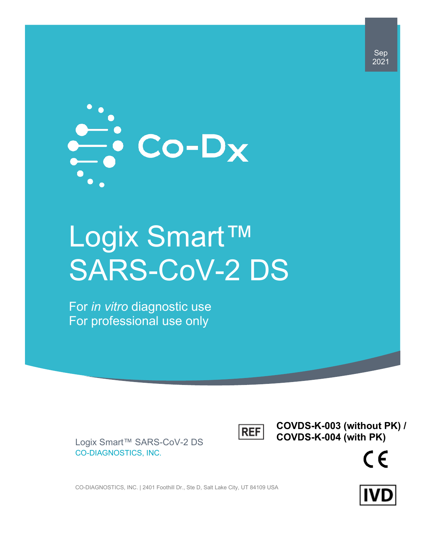

# Logix Smart™ SARS-CoV-2 DS

For *in vitro* diagnostic use For professional use only



**COVDS-K-003 (without PK) / COVDS-K-004 (with PK)**



Logix Smart™ SARS-CoV-2 DS CO-DIAGNOSTICS, INC.

CO-DIAGNOSTICS, INC. | 2401 Foothill Dr., Ste D, Salt Lake City, UT 84109 USA



Sep 2021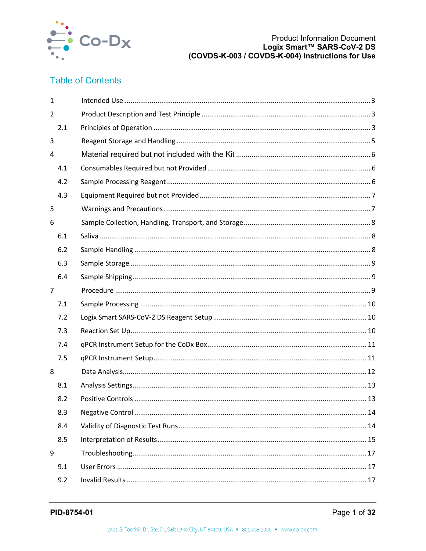

## **Table of Contents**

| $\mathbf{1}$   |  |
|----------------|--|
| $\overline{2}$ |  |
| 2.1            |  |
| 3              |  |
| 4              |  |
| 4.1            |  |
| 4.2            |  |
| 4.3            |  |
| 5              |  |
| 6              |  |
| 6.1            |  |
| 6.2            |  |
| 6.3            |  |
| 6.4            |  |
| $\overline{7}$ |  |
| 7.1            |  |
| 7.2            |  |
| 7.3            |  |
| 7.4            |  |
| 7.5            |  |
| 8              |  |
| 8.1            |  |
| 8.2            |  |
| 8.3            |  |
| 8.4            |  |
| 8.5            |  |
| 9              |  |
| 9.1            |  |
| 9.2            |  |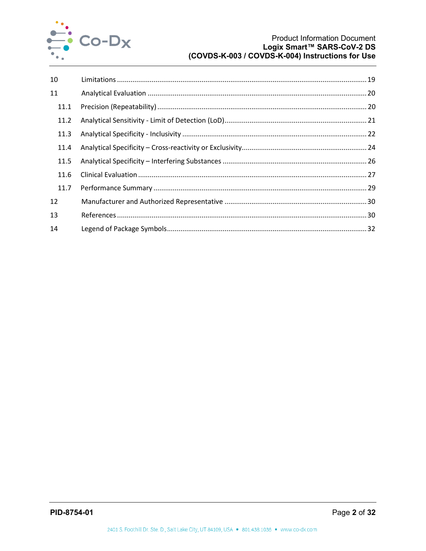

| 10   |  |
|------|--|
| 11   |  |
| 11.1 |  |
| 11.2 |  |
| 11.3 |  |
| 11.4 |  |
| 11.5 |  |
| 11.6 |  |
| 11.7 |  |
| 12   |  |
| 13   |  |
| 14   |  |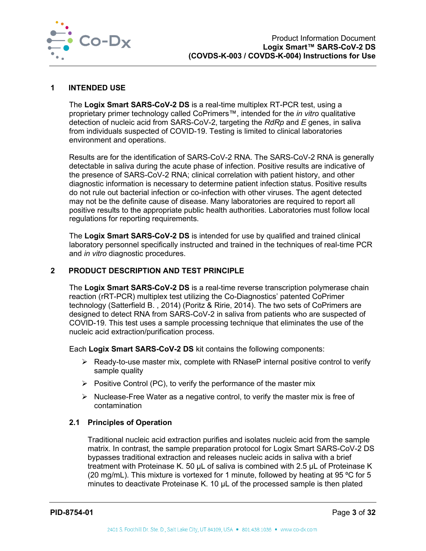

#### <span id="page-3-0"></span>**1 INTENDED USE**

The **Logix Smart SARS-CoV-2 DS** is a real-time multiplex RT-PCR test, using a proprietary primer technology called CoPrimers™, intended for the *in vitro* qualitative detection of nucleic acid from SARS-CoV-2, targeting the *RdRp* and *E* genes, in saliva from individuals suspected of COVID-19. Testing is limited to clinical laboratories environment and operations.

Results are for the identification of SARS-CoV-2 RNA. The SARS-CoV-2 RNA is generally detectable in saliva during the acute phase of infection. Positive results are indicative of the presence of SARS-CoV-2 RNA; clinical correlation with patient history, and other diagnostic information is necessary to determine patient infection status. Positive results do not rule out bacterial infection or co-infection with other viruses. The agent detected may not be the definite cause of disease. Many laboratories are required to report all positive results to the appropriate public health authorities. Laboratories must follow local regulations for reporting requirements.

The **Logix Smart SARS-CoV-2 DS** is intended for use by qualified and trained clinical laboratory personnel specifically instructed and trained in the techniques of real-time PCR and *in vitro* diagnostic procedures.

#### <span id="page-3-1"></span>**2 PRODUCT DESCRIPTION AND TEST PRINCIPLE**

The **Logix Smart SARS-CoV-2 DS** is a real-time reverse transcription polymerase chain reaction (rRT-PCR) multiplex test utilizing the Co-Diagnostics' patented CoPrimer technology (Satterfield B. , 2014) (Poritz & Ririe, 2014). The two sets of CoPrimers are designed to detect RNA from SARS-CoV-2 in saliva from patients who are suspected of COVID-19. This test uses a sample processing technique that eliminates the use of the nucleic acid extraction/purification process.

Each **Logix Smart SARS-CoV-2 DS** kit contains the following components:

- $\triangleright$  Ready-to-use master mix, complete with RNaseP internal positive control to verify sample quality
- $\triangleright$  Positive Control (PC), to verify the performance of the master mix
- $\triangleright$  Nuclease-Free Water as a negative control, to verify the master mix is free of contamination

#### <span id="page-3-2"></span>**2.1 Principles of Operation**

Traditional nucleic acid extraction purifies and isolates nucleic acid from the sample matrix. In contrast, the sample preparation protocol for Logix Smart SARS-CoV-2 DS bypasses traditional extraction and releases nucleic acids in saliva with a brief treatment with Proteinase K. 50 µL of saliva is combined with 2.5 µL of Proteinase K (20 mg/mL). This mixture is vortexed for 1 minute, followed by heating at 95  $\degree$ C for 5 minutes to deactivate Proteinase K. 10 µL of the processed sample is then plated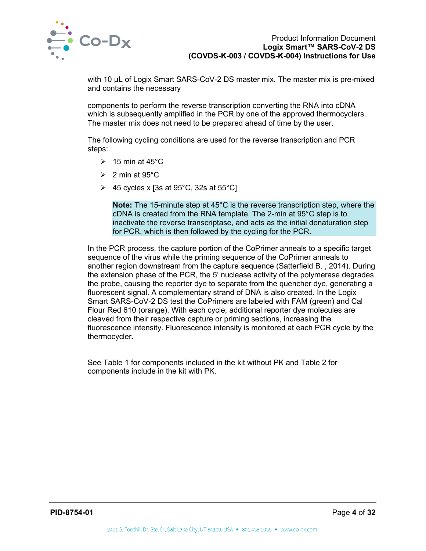

with 10 µL of Logix Smart SARS-CoV-2 DS master mix. The master mix is pre-mixed and contains the necessary

components to perform the reverse transcription converting the RNA into cDNA which is subsequently amplified in the PCR by one of the approved thermocyclers. The master mix does not need to be prepared ahead of time by the user.

The following cycling conditions are used for the reverse transcription and PCR steps:

- $\geqslant$  15 min at 45°C
- $\geqslant$  2 min at 95°C
- $\triangleright$  45 cycles x [3s at 95°C, 32s at 55°C]

**Note:** The 15-minute step at 45°C is the reverse transcription step, where the cDNA is created from the RNA template. The 2-min at 95°C step is to inactivate the reverse transcriptase, and acts as the initial denaturation step for PCR, which is then followed by the cycling for the PCR.

In the PCR process, the capture portion of the CoPrimer anneals to a specific target sequence of the virus while the priming sequence of the CoPrimer anneals to another region downstream from the capture sequence (Satterfield B. , 2014). During the extension phase of the PCR, the 5' nuclease activity of the polymerase degrades the probe, causing the reporter dye to separate from the quencher dye, generating a fluorescent signal. A complementary strand of DNA is also created. In the Logix Smart SARS-CoV-2 DS test the CoPrimers are labeled with FAM (green) and Cal Flour Red 610 (orange). With each cycle, additional reporter dye molecules are cleaved from their respective capture or priming sections, increasing the fluorescence intensity. Fluorescence intensity is monitored at each PCR cycle by the thermocycler.

See [Table 1](#page-5-1) for components included in the kit without PK and [Table 2](#page-5-2) for components include in the kit with PK.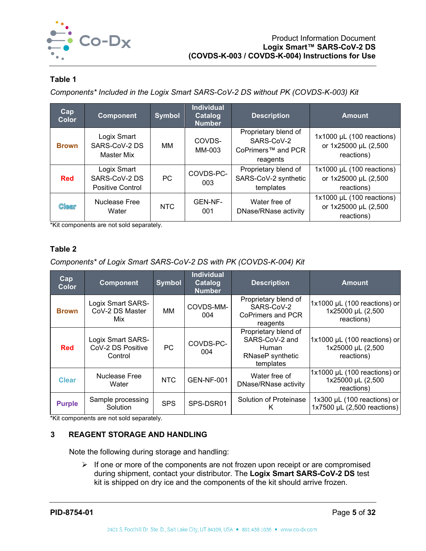

## <span id="page-5-1"></span>**Table 1**

*Components\* Included in the Logix Smart SARS-CoV-2 DS without PK (COVDS-K-003) Kit*

| Cap<br><b>Color</b> | <b>Component</b>                                        | <b>Symbol</b> | Individual<br>Catalog<br><b>Number</b> | <b>Description</b>                                                   | <b>Amount</b>                                                     |
|---------------------|---------------------------------------------------------|---------------|----------------------------------------|----------------------------------------------------------------------|-------------------------------------------------------------------|
| <b>Brown</b>        | Logix Smart<br>SARS-CoV-2 DS<br>Master Mix              | MМ            | COVDS-<br>MM-003                       | Proprietary blend of<br>SARS-CoV-2<br>CoPrimers™ and PCR<br>reagents | $1x1000$ µL (100 reactions)<br>or 1x25000 µL (2,500<br>reactions) |
| <b>Red</b>          | Logix Smart<br>SARS-CoV-2 DS<br><b>Positive Control</b> | <b>PC</b>     | COVDS-PC-<br>003                       | Proprietary blend of<br>SARS-CoV-2 synthetic<br>templates            | $1x1000$ µL (100 reactions)<br>or 1x25000 µL (2,500<br>reactions) |
| <b>Clear</b>        | Nuclease Free<br>Water                                  | <b>NTC</b>    | GEN-NF-<br>001                         | Water free of<br>DNase/RNase activity                                | $1x1000$ µL (100 reactions)<br>or 1x25000 µL (2,500<br>reactions) |

\*Kit components are not sold separately.

## <span id="page-5-2"></span>**Table 2**

*Components\* of Logix Smart SARS-CoV-2 DS with PK (COVDS-K-004) Kit*

| Cap<br><b>Color</b> | <b>Component</b>                                  | <b>Symbol</b> | <b>Individual</b><br>Catalog<br><b>Number</b> | <b>Description</b>                                                                      | <b>Amount</b>                                                   |
|---------------------|---------------------------------------------------|---------------|-----------------------------------------------|-----------------------------------------------------------------------------------------|-----------------------------------------------------------------|
| <b>Brown</b>        | Logix Smart SARS-<br>CoV-2 DS Master<br>Mix       | MМ            | COVDS-MM-<br>004                              | Proprietary blend of<br>SARS-CoV-2<br><b>CoPrimers and PCR</b><br>reagents              | 1x1000 µL (100 reactions) or<br>1x25000 µL (2,500<br>reactions) |
| <b>Red</b>          | Logix Smart SARS-<br>CoV-2 DS Positive<br>Control | <b>PC</b>     | COVDS-PC-<br>004                              | Proprietary blend of<br>SARS-CoV-2 and<br><b>Human</b><br>RNaseP synthetic<br>templates | 1x1000 µL (100 reactions) or<br>1x25000 µL (2,500<br>reactions) |
| <b>Clear</b>        | <b>Nuclease Free</b><br>Water                     | <b>NTC</b>    | <b>GEN-NF-001</b>                             | Water free of<br>DNase/RNase activity                                                   | 1x1000 µL (100 reactions) or<br>1x25000 µL (2,500<br>reactions) |
| <b>Purple</b>       | Sample processing<br>Solution                     | <b>SPS</b>    | SPS-DSR01                                     | Solution of Proteinase<br>ĸ                                                             | 1x300 µL (100 reactions) or<br>1x7500 µL (2,500 reactions)      |

<span id="page-5-0"></span>\*Kit components are not sold separately.

## **3 REAGENT STORAGE AND HANDLING**

Note the following during storage and handling:

 $\triangleright$  If one or more of the components are not frozen upon receipt or are compromised during shipment, contact your distributor. The **Logix Smart SARS-CoV-2 DS** test kit is shipped on dry ice and the components of the kit should arrive frozen.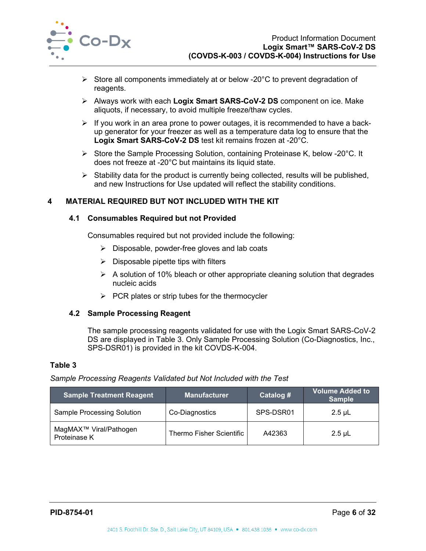

- $\triangleright$  Store all components immediately at or below -20 $\degree$ C to prevent degradation of reagents.
- Always work with each **Logix Smart SARS-CoV-2 DS** component on ice. Make aliquots, if necessary, to avoid multiple freeze/thaw cycles.
- $\triangleright$  If you work in an area prone to power outages, it is recommended to have a backup generator for your freezer as well as a temperature data log to ensure that the **Logix Smart SARS-CoV-2 DS** test kit remains frozen at -20°C.
- $\triangleright$  Store the Sample Processing Solution, containing Proteinase K, below -20 $^{\circ}$ C. It does not freeze at -20°C but maintains its liquid state.
- $\triangleright$  Stability data for the product is currently being collected, results will be published, and new Instructions for Use updated will reflect the stability conditions.

## <span id="page-6-1"></span><span id="page-6-0"></span>**4 MATERIAL REQUIRED BUT NOT INCLUDED WITH THE KIT**

#### **4.1 Consumables Required but not Provided**

Consumables required but not provided include the following:

- $\triangleright$  Disposable, powder-free gloves and lab coats
- $\triangleright$  Disposable pipette tips with filters
- $\triangleright$  A solution of 10% bleach or other appropriate cleaning solution that degrades nucleic acids
- $\triangleright$  PCR plates or strip tubes for the thermocycler

#### <span id="page-6-2"></span>**4.2 Sample Processing Reagent**

The sample processing reagents validated for use with the Logix Smart SARS-CoV-2 DS are displayed in [Table 3.](#page-6-3) Only Sample Processing Solution (Co-Diagnostics, Inc., SPS-DSR01) is provided in the kit COVDS-K-004.

## <span id="page-6-3"></span>**Table 3**

#### *Sample Processing Reagents Validated but Not Included with the Test*

| <b>Sample Treatment Reagent</b>                    | <b>Manufacturer</b>      | Catalog # | <b>Volume Added to</b><br><b>Sample</b> |
|----------------------------------------------------|--------------------------|-----------|-----------------------------------------|
| <b>Sample Processing Solution</b>                  | Co-Diagnostics           | SPS-DSR01 | $2.5 \mu L$                             |
| MagMAX <sup>™</sup> Viral/Pathogen<br>Proteinase K | Thermo Fisher Scientific | A42363    | $2.5$ µL                                |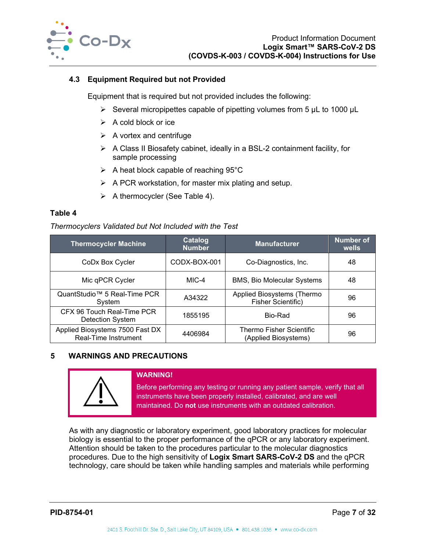

## <span id="page-7-0"></span>**4.3 Equipment Required but not Provided**

Equipment that is required but not provided includes the following:

- $\triangleright$  Several micropipettes capable of pipetting volumes from 5 µL to 1000 µL
- $\triangleright$  A cold block or ice
- $\triangleright$  A vortex and centrifuge
- $\triangleright$  A Class II Biosafety cabinet, ideally in a BSL-2 containment facility, for sample processing
- $\triangleright$  A heat block capable of reaching 95°C
- $\triangleright$  A PCR workstation, for master mix plating and setup.
- $\triangleright$  A thermocycler (See [Table 4\)](#page-7-2).

#### <span id="page-7-2"></span>**Table 4**

#### *Thermocyclers Validated but Not Included with the Test*

| <b>Thermocycler Machine</b>                             | <b>Catalog</b><br><b>Number</b> | <b>Manufacturer</b>                              | <b>Number of</b><br>wells |
|---------------------------------------------------------|---------------------------------|--------------------------------------------------|---------------------------|
| CoDx Box Cycler                                         | CODX-BOX-001                    | Co-Diagnostics, Inc.                             | 48                        |
| Mic qPCR Cycler                                         | MIC-4                           | <b>BMS, Bio Molecular Systems</b>                | 48                        |
| QuantStudio™ 5 Real-Time PCR<br>System                  | A34322                          | Applied Biosystems (Thermo<br>Fisher Scientific) | 96                        |
| CFX 96 Touch Real-Time PCR<br><b>Detection System</b>   | 1855195                         | Bio-Rad                                          | 96                        |
| Applied Biosystems 7500 Fast DX<br>Real-Time Instrument | 4406984                         | Thermo Fisher Scientific<br>(Applied Biosystems) | 96                        |

## <span id="page-7-1"></span>**5 WARNINGS AND PRECAUTIONS**



#### **WARNING!**

Before performing any testing or running any patient sample, verify that all instruments have been properly installed, calibrated, and are well maintained. Do **not** use instruments with an outdated calibration.

As with any diagnostic or laboratory experiment, good laboratory practices for molecular biology is essential to the proper performance of the qPCR or any laboratory experiment. Attention should be taken to the procedures particular to the molecular diagnostics procedures. Due to the high sensitivity of **Logix Smart SARS-CoV-2 DS** and the qPCR technology, care should be taken while handling samples and materials while performing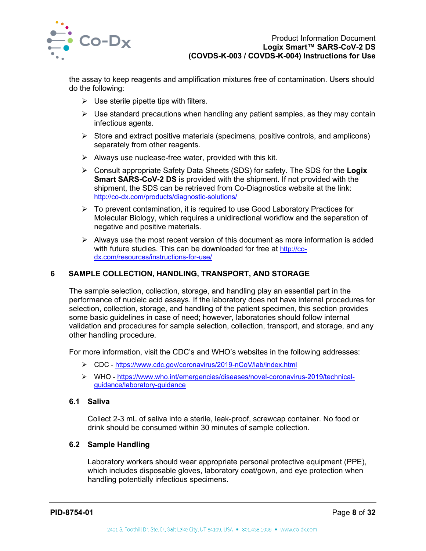

the assay to keep reagents and amplification mixtures free of contamination. Users should do the following:

- $\triangleright$  Use sterile pipette tips with filters.
- $\triangleright$  Use standard precautions when handling any patient samples, as they may contain infectious agents.
- $\triangleright$  Store and extract positive materials (specimens, positive controls, and amplicons) separately from other reagents.
- $\triangleright$  Always use nuclease-free water, provided with this kit.
- Consult appropriate Safety Data Sheets (SDS) for safety. The SDS for the **Logix Smart SARS-CoV-2 DS** is provided with the shipment. If not provided with the shipment, the SDS can be retrieved from Co-Diagnostics website at the link: <http://co-dx.com/products/diagnostic-solutions/>
- $\triangleright$  To prevent contamination, it is required to use Good Laboratory Practices for Molecular Biology, which requires a unidirectional workflow and the separation of negative and positive materials.
- $\triangleright$  Always use the most recent version of this document as more information is added with future studies. This can be downloaded for free at [http://co](http://co-dx.com/resources/instructions-for-use/)[dx.com/resources/instructions-for-use/](http://co-dx.com/resources/instructions-for-use/)

## <span id="page-8-0"></span>**6 SAMPLE COLLECTION, HANDLING, TRANSPORT, AND STORAGE**

The sample selection, collection, storage, and handling play an essential part in the performance of nucleic acid assays. If the laboratory does not have internal procedures for selection, collection, storage, and handling of the patient specimen, this section provides some basic guidelines in case of need; however, laboratories should follow internal validation and procedures for sample selection, collection, transport, and storage, and any other handling procedure.

For more information, visit the CDC's and WHO's websites in the following addresses:

- CDC <https://www.cdc.gov/coronavirus/2019-nCoV/lab/index.html>
- WHO [https://www.who.int/emergencies/diseases/novel-coronavirus-2019/technical](https://www.who.int/emergencies/diseases/novel-coronavirus-2019/technical-guidance/laboratory-guidance)[guidance/laboratory-guidance](https://www.who.int/emergencies/diseases/novel-coronavirus-2019/technical-guidance/laboratory-guidance)

#### <span id="page-8-1"></span>**6.1 Saliva**

Collect 2-3 mL of saliva into a sterile, leak-proof, screwcap container. No food or drink should be consumed within 30 minutes of sample collection.

## <span id="page-8-2"></span>**6.2 Sample Handling**

Laboratory workers should wear appropriate personal protective equipment (PPE), which includes disposable gloves, laboratory coat/gown, and eye protection when handling potentially infectious specimens.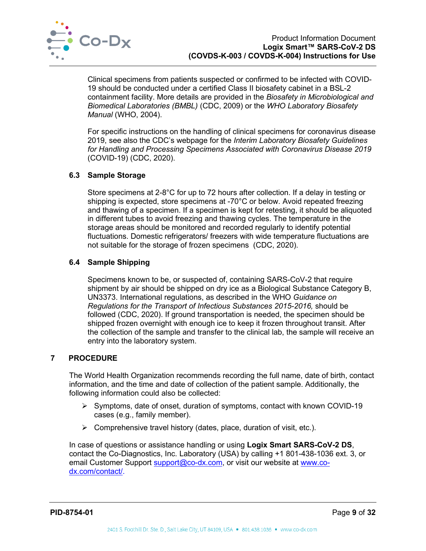

Clinical specimens from patients suspected or confirmed to be infected with COVID-19 should be conducted under a certified Class II biosafety cabinet in a BSL-2 containment facility. More details are provided in the *Biosafety in Microbiological and Biomedical Laboratories (BMBL)* (CDC, 2009) or the *WHO Laboratory Biosafety Manual* (WHO, 2004).

For specific instructions on the handling of clinical specimens for coronavirus disease 2019, see also the CDC's webpage for the *Interim Laboratory Biosafety Guidelines for Handling and Processing Specimens Associated with Coronavirus Disease 2019* (COVID-19) (CDC, 2020).

#### <span id="page-9-0"></span>**6.3 Sample Storage**

Store specimens at 2-8°C for up to 72 hours after collection. If a delay in testing or shipping is expected, store specimens at -70°C or below. Avoid repeated freezing and thawing of a specimen. If a specimen is kept for retesting, it should be aliquoted in different tubes to avoid freezing and thawing cycles. The temperature in the storage areas should be monitored and recorded regularly to identify potential fluctuations. Domestic refrigerators/ freezers with wide temperature fluctuations are not suitable for the storage of frozen specimens (CDC, 2020).

#### <span id="page-9-1"></span>**6.4 Sample Shipping**

Specimens known to be, or suspected of, containing SARS-CoV-2 that require shipment by air should be shipped on dry ice as a Biological Substance Category B, UN3373. International regulations, as described in the WHO *Guidance on Regulations for the Transport of Infectious Substances 2015-2016,* should be followed (CDC, 2020). If ground transportation is needed, the specimen should be shipped frozen overnight with enough ice to keep it frozen throughout transit. After the collection of the sample and transfer to the clinical lab, the sample will receive an entry into the laboratory system.

## <span id="page-9-2"></span>**7 PROCEDURE**

The World Health Organization recommends recording the full name, date of birth, contact information, and the time and date of collection of the patient sample. Additionally, the following information could also be collected:

- $\triangleright$  Symptoms, date of onset, duration of symptoms, contact with known COVID-19 cases (e.g., family member).
- $\triangleright$  Comprehensive travel history (dates, place, duration of visit, etc.).

In case of questions or assistance handling or using **Logix Smart SARS-CoV-2 DS**, contact the Co-Diagnostics, Inc. Laboratory (USA) by calling +1 801-438-1036 ext. 3, or email Customer Support [support@co-dx.com,](mailto:support@co-dx.com) or visit our website at [www.co](http://www.co-dx.com/contact/)[dx.com/contact/.](http://www.co-dx.com/contact/)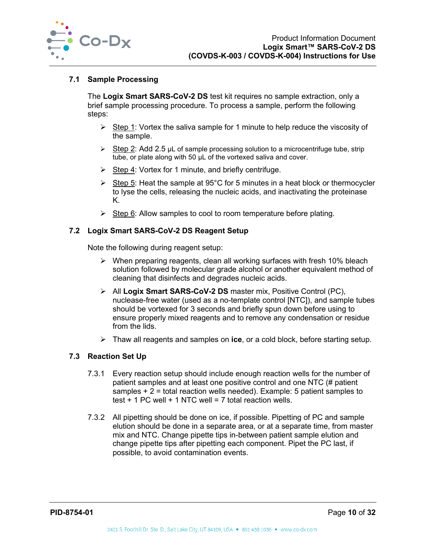

#### <span id="page-10-0"></span>**7.1 Sample Processing**

The **Logix Smart SARS-CoV-2 DS** test kit requires no sample extraction, only a brief sample processing procedure. To process a sample, perform the following steps:

- $\triangleright$  Step 1: Vortex the saliva sample for 1 minute to help reduce the viscosity of the sample.
- $\triangleright$  Step 2: Add 2.5 µL of sample processing solution to a microcentrifuge tube, strip tube, or plate along with 50 µL of the vortexed saliva and cover.
- $\triangleright$  Step 4: Vortex for 1 minute, and briefly centrifuge.
- Step 5: Heat the sample at 95°C for 5 minutes in a heat block or thermocycler to lyse the cells, releasing the nucleic acids, and inactivating the proteinase K.
- $\triangleright$  Step 6: Allow samples to cool to room temperature before plating.

#### <span id="page-10-1"></span>**7.2 Logix Smart SARS-CoV-2 DS Reagent Setup**

Note the following during reagent setup:

- $\triangleright$  When preparing reagents, clean all working surfaces with fresh 10% bleach solution followed by molecular grade alcohol or another equivalent method of cleaning that disinfects and degrades nucleic acids.
- All **Logix Smart SARS-CoV-2 DS** master mix, Positive Control (PC), nuclease-free water (used as a no-template control [NTC]), and sample tubes should be vortexed for 3 seconds and briefly spun down before using to ensure properly mixed reagents and to remove any condensation or residue from the lids.
- Thaw all reagents and samples on **ice**, or a cold block, before starting setup.

#### <span id="page-10-2"></span>**7.3 Reaction Set Up**

- 7.3.1 Every reaction setup should include enough reaction wells for the number of patient samples and at least one positive control and one NTC (# patient samples  $+2$  = total reaction wells needed). Example: 5 patient samples to test  $+$  1 PC well  $+$  1 NTC well = 7 total reaction wells.
- 7.3.2 All pipetting should be done on ice, if possible. Pipetting of PC and sample elution should be done in a separate area, or at a separate time, from master mix and NTC. Change pipette tips in-between patient sample elution and change pipette tips after pipetting each component. Pipet the PC last, if possible, to avoid contamination events.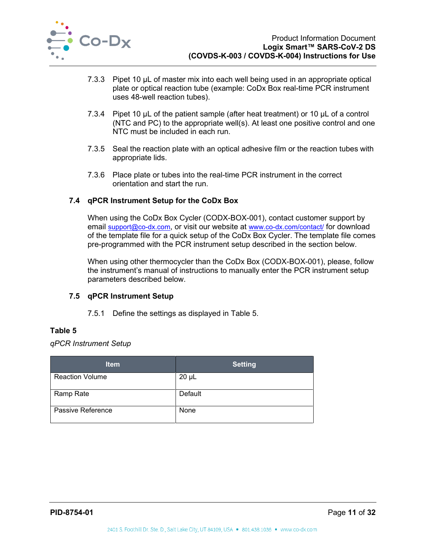

- 7.3.3 Pipet 10 µL of master mix into each well being used in an appropriate optical plate or optical reaction tube (example: CoDx Box real-time PCR instrument uses 48-well reaction tubes).
- 7.3.4 Pipet 10 µL of the patient sample (after heat treatment) or 10 µL of a control (NTC and PC) to the appropriate well(s). At least one positive control and one NTC must be included in each run.
- 7.3.5 Seal the reaction plate with an optical adhesive film or the reaction tubes with appropriate lids.
- 7.3.6 Place plate or tubes into the real-time PCR instrument in the correct orientation and start the run.

## <span id="page-11-0"></span>**7.4 qPCR Instrument Setup for the CoDx Box**

When using the CoDx Box Cycler (CODX-BOX-001), contact customer support by email [support@co-dx.com,](mailto:support@co-dx.com) or visit our website at [www.co-dx.com/contact/](http://www.co-dx.com/contact/) for download of the template file for a quick setup of the CoDx Box Cycler. The template file comes pre-programmed with the PCR instrument setup described in the section below.

When using other thermocycler than the CoDx Box (CODX-BOX-001), please, follow the instrument's manual of instructions to manually enter the PCR instrument setup parameters described below.

## <span id="page-11-1"></span>**7.5 qPCR Instrument Setup**

7.5.1 Define the settings as displayed in [Table 5.](#page-11-2)

## <span id="page-11-2"></span>**Table 5**

*qPCR Instrument Setup*

| <b>Item</b>            | <b>Setting</b> |
|------------------------|----------------|
| <b>Reaction Volume</b> | $20 \mu L$     |
| Ramp Rate              | Default        |
| Passive Reference      | None           |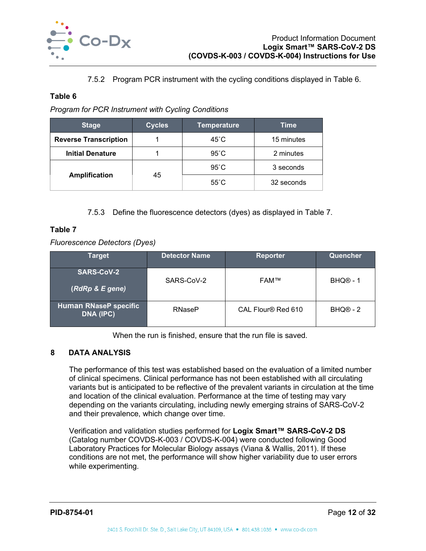

7.5.2 Program PCR instrument with the cycling conditions displayed in [Table 6.](#page-12-1)

## <span id="page-12-1"></span>**Table 6**

*Program for PCR Instrument with Cycling Conditions*

| <b>Stage</b>                 | <b>Cycles</b> | <b>Temperature</b> | Time       |
|------------------------------|---------------|--------------------|------------|
| <b>Reverse Transcription</b> |               | $45^{\circ}$ C     | 15 minutes |
| <b>Initial Denature</b>      |               | $95^{\circ}$ C     | 2 minutes  |
|                              |               | $95^{\circ}$ C     | 3 seconds  |
| <b>Amplification</b>         | 45            | $55^{\circ}$ C     | 32 seconds |

7.5.3 Define the fluorescence detectors (dyes) as displayed in [Table 7.](#page-12-2)

## <span id="page-12-2"></span>**Table 7**

*Fluorescence Detectors (Dyes)*

| <b>Target</b>                             | <b>Detector Name</b> | <b>Reporter</b>    | Quencher   |
|-------------------------------------------|----------------------|--------------------|------------|
| <b>SARS-CoV-2</b><br>(RdRp & E gene)      | SARS-CoV-2           | <b>FAM™</b>        | BHQ® - 1   |
| <b>Human RNaseP specific</b><br>DNA (IPC) | <b>RNaseP</b>        | CAL Flour® Red 610 | $BHQ@ - 2$ |

When the run is finished, ensure that the run file is saved.

## <span id="page-12-0"></span>**8 DATA ANALYSIS**

The performance of this test was established based on the evaluation of a limited number of clinical specimens. Clinical performance has not been established with all circulating variants but is anticipated to be reflective of the prevalent variants in circulation at the time and location of the clinical evaluation. Performance at the time of testing may vary depending on the variants circulating, including newly emerging strains of SARS-CoV-2 and their prevalence, which change over time.

Verification and validation studies performed for **Logix Smart™ SARS-CoV-2 DS** (Catalog number COVDS-K-003 / COVDS-K-004) were conducted following Good Laboratory Practices for Molecular Biology assays (Viana & Wallis, 2011). If these conditions are not met, the performance will show higher variability due to user errors while experimenting.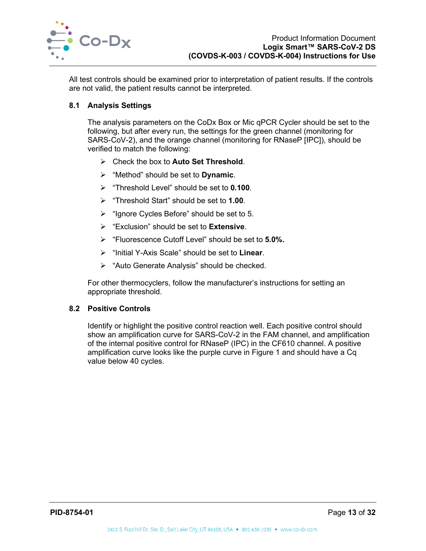

All test controls should be examined prior to interpretation of patient results. If the controls are not valid, the patient results cannot be interpreted.

## <span id="page-13-0"></span>**8.1 Analysis Settings**

The analysis parameters on the CoDx Box or Mic qPCR Cycler should be set to the following, but after every run, the settings for the green channel (monitoring for SARS-CoV-2), and the orange channel (monitoring for RNaseP [IPC]), should be verified to match the following:

- Check the box to **Auto Set Threshold**.
- "Method" should be set to **Dynamic**.
- "Threshold Level" should be set to **0.100**.
- "Threshold Start" should be set to **1.00**.
- $\triangleright$  "Ignore Cycles Before" should be set to 5.
- "Exclusion" should be set to **Extensive**.
- "Fluorescence Cutoff Level" should be set to **5.0%.**
- "Initial Y-Axis Scale" should be set to **Linear**.
- $\triangleright$  "Auto Generate Analysis" should be checked.

For other thermocyclers, follow the manufacturer's instructions for setting an appropriate threshold.

#### <span id="page-13-1"></span>**8.2 Positive Controls**

Identify or highlight the positive control reaction well. Each positive control should show an amplification curve for SARS-CoV-2 in the FAM channel, and amplification of the internal positive control for RNaseP (IPC) in the CF610 channel. A positive amplification curve looks like the purple curve in [Figure 1](#page-14-2) and should have a Cq value below 40 cycles.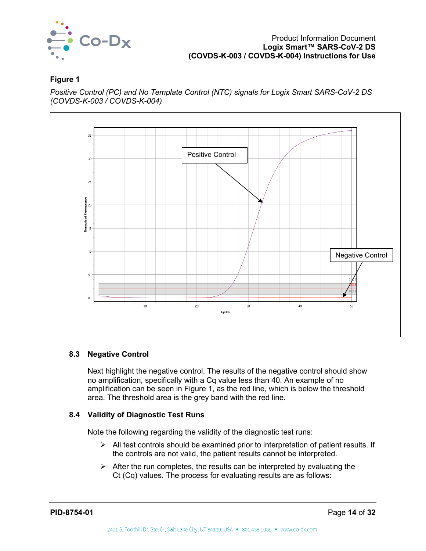

## <span id="page-14-2"></span>**Figure 1**

*Positive Control (PC) and No Template Control (NTC) signals for Logix Smart SARS-CoV-2 DS (COVDS-K-003 / COVDS-K-004)*



## <span id="page-14-0"></span>**8.3 Negative Control**

Next highlight the negative control. The results of the negative control should show no amplification, specifically with a Cq value less than 40. An example of no amplification can be seen in [Figure 1,](#page-14-2) as the red line, which is below the threshold area. The threshold area is the grey band with the red line.

## <span id="page-14-1"></span>**8.4 Validity of Diagnostic Test Runs**

Note the following regarding the validity of the diagnostic test runs:

- $\triangleright$  All test controls should be examined prior to interpretation of patient results. If the controls are not valid, the patient results cannot be interpreted.
- $\triangleright$  After the run completes, the results can be interpreted by evaluating the Ct (Cq) values. The process for evaluating results are as follows: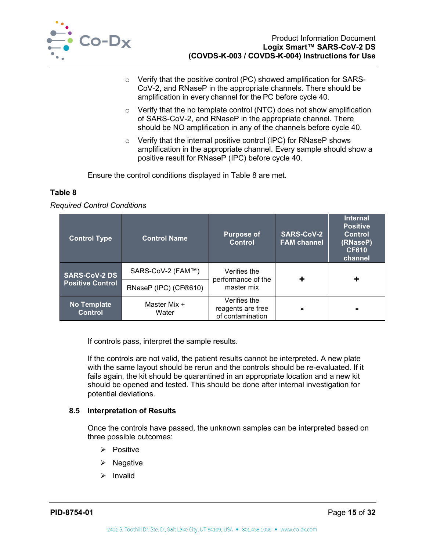

- o Verify that the positive control (PC) showed amplification for SARS-CoV-2, and RNaseP in the appropriate channels. There should be amplification in every channel for the PC before cycle 40.
- $\circ$  Verify that the no template control (NTC) does not show amplification of SARS-CoV-2, and RNaseP in the appropriate channel. There should be NO amplification in any of the channels before cycle 40.
- o Verify that the internal positive control (IPC) for RNaseP shows amplification in the appropriate channel. Every sample should show a positive result for RNaseP (IPC) before cycle 40.

Ensure the control conditions displayed in [Table 8](#page-15-1) are met.

## <span id="page-15-1"></span>**Table 8**

*Required Control Conditions*

| <b>Control Type</b>                  | <b>Control Name</b>   | <b>Purpose of</b><br><b>Control</b>                   | <b>SARS-CoV-2</b><br><b>FAM channel</b> | <b>Internal</b><br><b>Positive</b><br><b>Control</b><br>(RNaseP)<br><b>CF610</b><br>channel |
|--------------------------------------|-----------------------|-------------------------------------------------------|-----------------------------------------|---------------------------------------------------------------------------------------------|
| <b>SARS-CoV-2 DS</b>                 | SARS-CoV-2 (FAM™)     | Verifies the<br>performance of the                    |                                         |                                                                                             |
| <b>Positive Control</b>              | RNaseP (IPC) (CF®610) | master mix                                            |                                         |                                                                                             |
| <b>No Template</b><br><b>Control</b> | Master Mix +<br>Water | Verifies the<br>reagents are free<br>of contamination |                                         |                                                                                             |

If controls pass, interpret the sample results.

If the controls are not valid, the patient results cannot be interpreted. A new plate with the same layout should be rerun and the controls should be re-evaluated. If it fails again, the kit should be quarantined in an appropriate location and a new kit should be opened and tested. This should be done after internal investigation for potential deviations.

#### <span id="page-15-0"></span>**8.5 Interpretation of Results**

Once the controls have passed, the unknown samples can be interpreted based on three possible outcomes:

- $\triangleright$  Positive
- $\triangleright$  Negative
- $\triangleright$  Invalid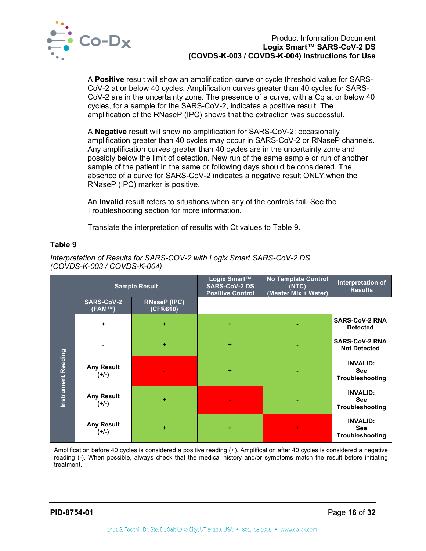

A **Positive** result will show an amplification curve or cycle threshold value for SARS-CoV-2 at or below 40 cycles. Amplification curves greater than 40 cycles for SARS-CoV-2 are in the uncertainty zone. The presence of a curve, with a Cq at or below 40 cycles, for a sample for the SARS-CoV-2, indicates a positive result. The amplification of the RNaseP (IPC) shows that the extraction was successful.

A **Negative** result will show no amplification for SARS-CoV-2; occasionally amplification greater than 40 cycles may occur in SARS-CoV-2 or RNaseP channels. Any amplification curves greater than 40 cycles are in the uncertainty zone and possibly below the limit of detection. New run of the same sample or run of another sample of the patient in the same or following days should be considered. The absence of a curve for SARS-CoV-2 indicates a negative result ONLY when the RNaseP (IPC) marker is positive.

An **Invalid** result refers to situations when any of the controls fail. See the Troubleshooting section for more information.

Translate the interpretation of results with Ct values to [Table 9.](#page-16-0)

#### <span id="page-16-0"></span>**Table 9**

|                           |                              | <b>Sample Result</b>            | Logix Smart™<br><b>SARS-CoV-2 DS</b><br><b>Positive Control</b> | <b>No Template Control</b><br>(NTC)<br>(Master Mix + Water) | Interpretation of<br><b>Results</b>                     |
|---------------------------|------------------------------|---------------------------------|-----------------------------------------------------------------|-------------------------------------------------------------|---------------------------------------------------------|
|                           | <b>SARS-CoV-2</b><br>(FAM™)  | <b>RNaseP (IPC)</b><br>(CF@610) |                                                                 |                                                             |                                                         |
|                           | ÷                            | ٠                               | ÷                                                               |                                                             | <b>SARS-CoV-2 RNA</b><br><b>Detected</b>                |
| <b>Instrument Reading</b> |                              | ٠                               | ÷                                                               |                                                             | <b>SARS-CoV-2 RNA</b><br><b>Not Detected</b>            |
|                           | <b>Any Result</b><br>$(+/-)$ |                                 | ٠                                                               |                                                             | <b>INVALID:</b><br><b>See</b><br>Troubleshooting        |
|                           | <b>Any Result</b><br>$(+/-)$ | ٠                               | $\blacksquare$                                                  |                                                             | <b>INVALID:</b><br><b>See</b><br>Troubleshooting        |
|                           | <b>Any Result</b><br>(+/-)   | ٠                               | ٠                                                               | ÷                                                           | <b>INVALID:</b><br><b>See</b><br><b>Troubleshooting</b> |

*Interpretation of Results for SARS-COV-2 with Logix Smart SARS-CoV-2 DS (COVDS-K-003 / COVDS-K-004)*

Amplification before 40 cycles is considered a positive reading (+). Amplification after 40 cycles is considered a negative reading (-). When possible, always check that the medical history and/or symptoms match the result before initiating treatment.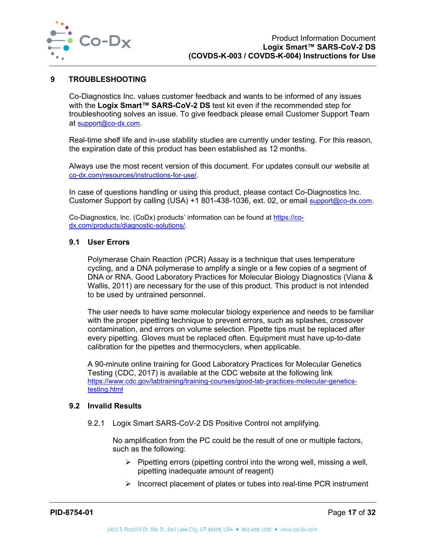

#### <span id="page-17-0"></span>**9 TROUBLESHOOTING**

Co-Diagnostics Inc. values customer feedback and wants to be informed of any issues with the **Logix Smart™ SARS-CoV-2 DS** test kit even if the recommended step for troubleshooting solves an issue. To give feedback please email Customer Support Team at [support@co-dx.com.](mailto:support@co-dx.com)

Real-time shelf life and in-use stability studies are currently under testing. For this reason, the expiration date of this product has been established as 12 months.

Always use the most recent version of this document. For updates consult our website at [co-dx.com/resources/instructions-for-use/.](https://codiagnostics.com/resources/instructions-for-use/)

In case of questions handling or using this product, please contact Co-Diagnostics Inc. Customer Support by calling (USA) +1 801-438-1036, ext. 02, or email [support@co-dx.com.](mailto:support@co-dx.com)

Co-Diagnostics, Inc. (CoDx) products' information can be found at [https://co](https://co-dx.com/products/diagnostic-solutions/)[dx.com/products/diagnostic-solutions/.](https://co-dx.com/products/diagnostic-solutions/)

#### <span id="page-17-1"></span>**9.1 User Errors**

Polymerase Chain Reaction (PCR) Assay is a technique that uses temperature cycling, and a DNA polymerase to amplify a single or a few copies of a segment of DNA or RNA. Good Laboratory Practices for Molecular Biology Diagnostics (Viana & Wallis, 2011) are necessary for the use of this product. This product is not intended to be used by untrained personnel.

The user needs to have some molecular biology experience and needs to be familiar with the proper pipetting technique to prevent errors, such as splashes, crossover contamination, and errors on volume selection. Pipette tips must be replaced after every pipetting. Gloves must be replaced often. Equipment must have up-to-date calibration for the pipettes and thermocyclers, when applicable.

A 90-minute online training for Good Laboratory Practices for Molecular Genetics Testing (CDC, 2017) is available at the CDC website at the following link [https://www.cdc.gov/labtraining/training-courses/good-lab-practices-molecular-genetics](https://www.cdc.gov/labtraining/training-courses/good-lab-practices-molecular-genetics-testing.html)[testing.html](https://www.cdc.gov/labtraining/training-courses/good-lab-practices-molecular-genetics-testing.html)

#### <span id="page-17-2"></span>**9.2 Invalid Results**

9.2.1 Logix Smart SARS-CoV-2 DS Positive Control not amplifying.

No amplification from the PC could be the result of one or multiple factors, such as the following:

- $\triangleright$  Pipetting errors (pipetting control into the wrong well, missing a well, pipetting inadequate amount of reagent)
- $\triangleright$  Incorrect placement of plates or tubes into real-time PCR instrument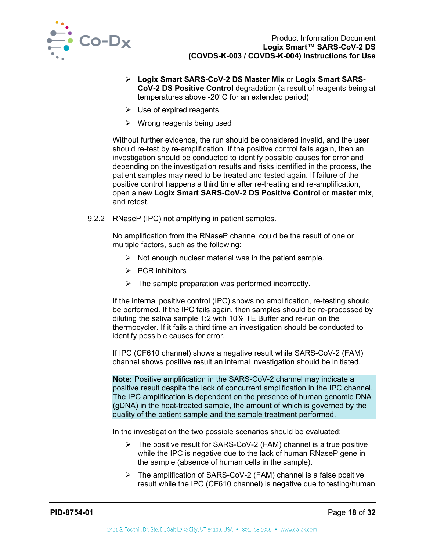

- **Logix Smart SARS-CoV-2 DS Master Mix** or **Logix Smart SARS-CoV-2 DS Positive Control** degradation (a result of reagents being at temperatures above -20°C for an extended period)
- $\triangleright$  Use of expired reagents
- $\triangleright$  Wrong reagents being used

Without further evidence, the run should be considered invalid, and the user should re-test by re-amplification. If the positive control fails again, then an investigation should be conducted to identify possible causes for error and depending on the investigation results and risks identified in the process, the patient samples may need to be treated and tested again. If failure of the positive control happens a third time after re-treating and re-amplification, open a new **Logix Smart SARS-CoV-2 DS Positive Control** or **master mix**, and retest.

9.2.2 RNaseP (IPC) not amplifying in patient samples.

No amplification from the RNaseP channel could be the result of one or multiple factors, such as the following:

- $\triangleright$  Not enough nuclear material was in the patient sample.
- $\triangleright$  PCR inhibitors
- $\triangleright$  The sample preparation was performed incorrectly.

If the internal positive control (IPC) shows no amplification, re-testing should be performed. If the IPC fails again, then samples should be re-processed by diluting the saliva sample 1:2 with 10% TE Buffer and re-run on the thermocycler. If it fails a third time an investigation should be conducted to identify possible causes for error.

If IPC (CF610 channel) shows a negative result while SARS-CoV-2 (FAM) channel shows positive result an internal investigation should be initiated.

**Note:** Positive amplification in the SARS-CoV-2 channel may indicate a positive result despite the lack of concurrent amplification in the IPC channel. The IPC amplification is dependent on the presence of human genomic DNA (gDNA) in the heat-treated sample, the amount of which is governed by the quality of the patient sample and the sample treatment performed.

In the investigation the two possible scenarios should be evaluated:

- $\triangleright$  The positive result for SARS-CoV-2 (FAM) channel is a true positive while the IPC is negative due to the lack of human RNaseP gene in the sample (absence of human cells in the sample).
- $\triangleright$  The amplification of SARS-CoV-2 (FAM) channel is a false positive result while the IPC (CF610 channel) is negative due to testing/human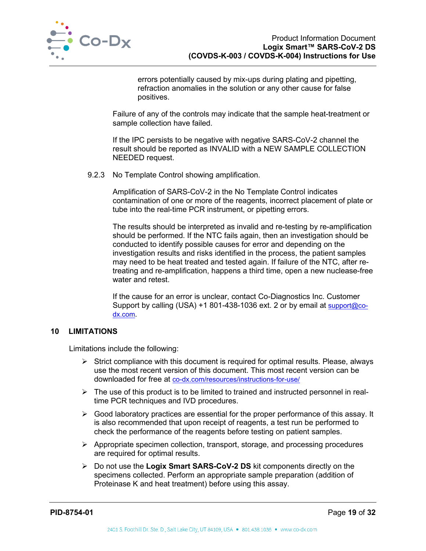

errors potentially caused by mix-ups during plating and pipetting, refraction anomalies in the solution or any other cause for false positives.

Failure of any of the controls may indicate that the sample heat-treatment or sample collection have failed.

If the IPC persists to be negative with negative SARS-CoV-2 channel the result should be reported as INVALID with a NEW SAMPLE COLLECTION NEEDED request.

9.2.3 No Template Control showing amplification.

Amplification of SARS-CoV-2 in the No Template Control indicates contamination of one or more of the reagents, incorrect placement of plate or tube into the real-time PCR instrument, or pipetting errors.

The results should be interpreted as invalid and re-testing by re-amplification should be performed. If the NTC fails again, then an investigation should be conducted to identify possible causes for error and depending on the investigation results and risks identified in the process, the patient samples may need to be heat treated and tested again. If failure of the NTC, after retreating and re-amplification, happens a third time, open a new nuclease-free water and retest.

If the cause for an error is unclear, contact Co-Diagnostics Inc. Customer Support by calling (USA) +1 801-438-1036 ext. 2 or by email at [support@co](mailto:support@co-dx.com)[dx.com.](mailto:support@co-dx.com)

## <span id="page-19-0"></span>**10 LIMITATIONS**

Limitations include the following:

- $\triangleright$  Strict compliance with this document is required for optimal results. Please, always use the most recent version of this document. This most recent version can be downloaded for free at [co-dx.com/resources/instructions-for-use/](https://codiagnostics.com/resources/instructions-for-use/)
- $\triangleright$  The use of this product is to be limited to trained and instructed personnel in realtime PCR techniques and IVD procedures.
- $\triangleright$  Good laboratory practices are essential for the proper performance of this assay. It is also recommended that upon receipt of reagents, a test run be performed to check the performance of the reagents before testing on patient samples.
- $\triangleright$  Appropriate specimen collection, transport, storage, and processing procedures are required for optimal results.
- Do not use the **Logix Smart SARS-CoV-2 DS** kit components directly on the specimens collected. Perform an appropriate sample preparation (addition of Proteinase K and heat treatment) before using this assay.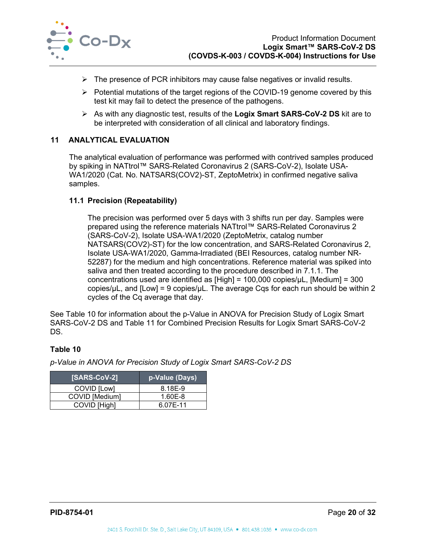

- $\triangleright$  The presence of PCR inhibitors may cause false negatives or invalid results.
- $\triangleright$  Potential mutations of the target regions of the COVID-19 genome covered by this test kit may fail to detect the presence of the pathogens.
- As with any diagnostic test, results of the **Logix Smart SARS-CoV-2 DS** kit are to be interpreted with consideration of all clinical and laboratory findings.

## <span id="page-20-0"></span>**11 ANALYTICAL EVALUATION**

The analytical evaluation of performance was performed with contrived samples produced by spiking in NATtrol™ SARS-Related Coronavirus 2 (SARS-CoV-2), Isolate USA-WA1/2020 (Cat. No. NATSARS(COV2)-ST, ZeptoMetrix) in confirmed negative saliva samples.

## <span id="page-20-1"></span>**11.1 Precision (Repeatability)**

The precision was performed over 5 days with 3 shifts run per day. Samples were prepared using the reference materials NATtrol™ SARS-Related Coronavirus 2 (SARS-CoV-2), Isolate USA-WA1/2020 (ZeptoMetrix, catalog number NATSARS(COV2)-ST) for the low concentration, and SARS-Related Coronavirus 2, Isolate USA-WA1/2020, Gamma-Irradiated (BEI Resources, catalog number NR-52287) for the medium and high concentrations. Reference material was spiked into saliva and then treated according to the procedure described in 7.1.1. The concentrations used are identified as [High] = 100,000 copies/µL, [Medium] = 300 copies/ $\mu$ L, and [Low] = 9 copies/ $\mu$ L. The average Cqs for each run should be within 2 cycles of the Cq average that day.

See [Table 10](#page-20-2) for information about the p-Value in ANOVA for Precision Study of Logix Smart SARS-CoV-2 DS and [Table 11](#page-21-1) for Combined Precision Results for Logix Smart SARS-CoV-2 DS.

## <span id="page-20-2"></span>**Table 10**

*p-Value in ANOVA for Precision Study of Logix Smart SARS-CoV-2 DS*

| <b>ISARS-CoV-21</b> | <u>lp-V</u> alue (Days) |
|---------------------|-------------------------|
| COVID [Low]         | 8.18E-9                 |
| COVID [Medium]      | 1.60E-8                 |
| COVID [High]        | 6.07E-11                |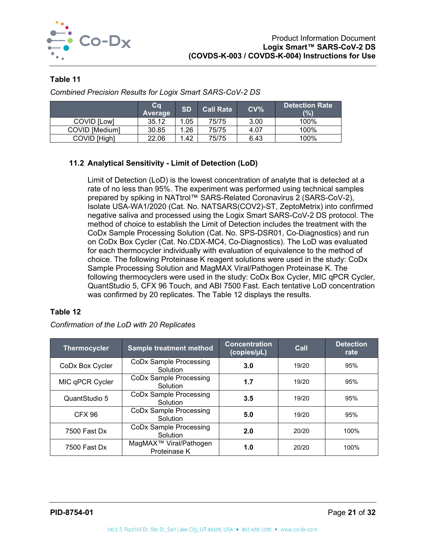

## <span id="page-21-1"></span>**Table 11**

|                | ca<br>Average | <b>SD</b> | <b>Call Rate</b> | CV <sub>0</sub> | <b>Detection Rate</b><br>(%) |
|----------------|---------------|-----------|------------------|-----------------|------------------------------|
| COVID ILowl    | 35.12         | .05       | 75/75            | 3.00            | 100%                         |
| COVID [Medium] | 30.85         | .26       | 75/75            | 4.07            | 100%                         |
| COVID [High]   | 22.06         | .42       | 75/75            | 6.43            | 100%                         |

*Combined Precision Results for Logix Smart SARS-CoV-2 DS*

## <span id="page-21-0"></span>**11.2 Analytical Sensitivity - Limit of Detection (LoD)**

Limit of Detection (LoD) is the lowest concentration of analyte that is detected at a rate of no less than 95%. The experiment was performed using technical samples prepared by spiking in NATtrol™ SARS-Related Coronavirus 2 (SARS-CoV-2), Isolate USA-WA1/2020 (Cat. No. NATSARS(COV2)-ST, ZeptoMetrix) into confirmed negative saliva and processed using the Logix Smart SARS-CoV-2 DS protocol. The method of choice to establish the Limit of Detection includes the treatment with the CoDx Sample Processing Solution (Cat. No. SPS-DSR01, Co-Diagnostics) and run on CoDx Box Cycler (Cat. No.CDX-MC4, Co-Diagnostics). The LoD was evaluated for each thermocycler individually with evaluation of equivalence to the method of choice. The following Proteinase K reagent solutions were used in the study: CoDx Sample Processing Solution and MagMAX Viral/Pathogen Proteinase K. The following thermocyclers were used in the study: CoDx Box Cycler, MIC qPCR Cycler, QuantStudio 5, CFX 96 Touch, and ABI 7500 Fast. Each tentative LoD concentration was confirmed by 20 replicates. The [Table 12](#page-21-2) displays the results.

#### <span id="page-21-2"></span>**Table 12**

*Confirmation of the LoD with 20 Replicates*

| <b>Thermocycler</b> | <b>Sample treatment method</b>                     | <b>Concentration</b><br>(copies/µL) |       | <b>Detection</b><br>rate |
|---------------------|----------------------------------------------------|-------------------------------------|-------|--------------------------|
| CoDx Box Cycler     | <b>CoDx Sample Processing</b><br>Solution          | 3.0                                 | 19/20 | 95%                      |
| MIC qPCR Cycler     | CoDx Sample Processing<br>Solution                 | 1.7                                 | 19/20 | 95%                      |
| QuantStudio 5       | CoDx Sample Processing<br>Solution                 | 3.5                                 | 19/20 | 95%                      |
| CFX 96              | <b>CoDx Sample Processing</b><br>Solution          | 5.0                                 | 19/20 | 95%                      |
| 7500 Fast Dx        | CoDx Sample Processing<br>Solution                 | 2.0                                 | 20/20 | 100%                     |
| 7500 Fast Dx        | MagMAX <sup>™</sup> Viral/Pathogen<br>Proteinase K | 1.0                                 | 20/20 | 100%                     |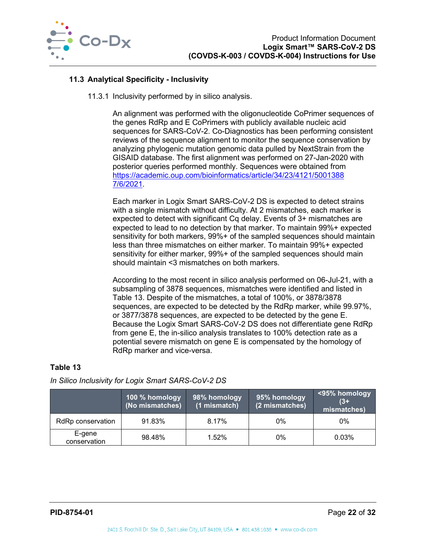

## <span id="page-22-0"></span>**11.3 Analytical Specificity - Inclusivity**

11.3.1 Inclusivity performed by in silico analysis.

An alignment was performed with the oligonucleotide CoPrimer sequences of the genes RdRp and E CoPrimers with publicly available nucleic acid sequences for SARS-CoV-2. Co-Diagnostics has been performing consistent reviews of the sequence alignment to monitor the sequence conservation by analyzing phylogenic mutation genomic data pulled by NextStrain from the GISAID database. The first alignment was performed on 27-Jan-2020 with posterior queries performed monthly. Sequences were obtained from <https://academic.oup.com/bioinformatics/article/34/23/4121/5001388> [7/6/2021.](https://academic.oup.com/bioinformatics/article/34/23/4121/5001388)

Each marker in Logix Smart SARS-CoV-2 DS is expected to detect strains with a single mismatch without difficulty. At 2 mismatches, each marker is expected to detect with significant Cq delay. Events of 3+ mismatches are expected to lead to no detection by that marker. To maintain 99%+ expected sensitivity for both markers, 99%+ of the sampled sequences should maintain less than three mismatches on either marker. To maintain 99%+ expected sensitivity for either marker, 99%+ of the sampled sequences should main should maintain <3 mismatches on both markers.

According to the most recent in silico analysis performed on 06-Jul-21, with a subsampling of 3878 sequences, mismatches were identified and listed in [Table 13.](#page-22-1) Despite of the mismatches, a total of 100%, or 3878/3878 sequences, are expected to be detected by the RdRp marker, while 99.97%, or 3877/3878 sequences, are expected to be detected by the gene E. Because the Logix Smart SARS-CoV-2 DS does not differentiate gene RdRp from gene E, the in-silico analysis translates to 100% detection rate as a potential severe mismatch on gene E is compensated by the homology of RdRp marker and vice-versa.

## <span id="page-22-1"></span>**Table 13**

*In Silico Inclusivity for Logix Smart SARS-CoV-2 DS*

|                        | 100 % homology<br>(No mismatches) | 98% homology<br>(1 mismatch) | 95% homology<br>(2 mismatches) | $\sim$ 495% homology<br>$(3+$<br>mismatches) |
|------------------------|-----------------------------------|------------------------------|--------------------------------|----------------------------------------------|
| RdRp conservation      | 91.83%                            | 8.17%                        | $0\%$                          | 0%                                           |
| E-gene<br>conservation | 98.48%                            | 1.52%                        | $0\%$                          | 0.03%                                        |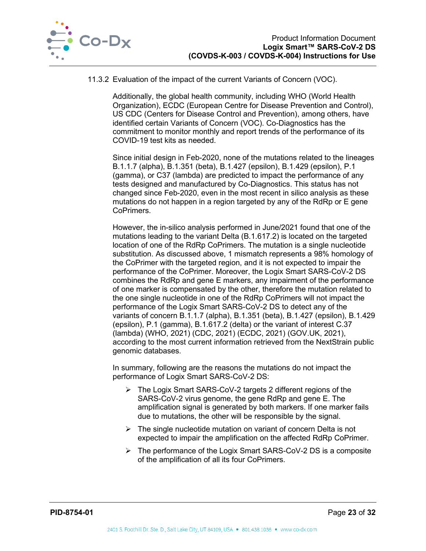

#### 11.3.2 Evaluation of the impact of the current Variants of Concern (VOC).

Additionally, the global health community, including WHO (World Health Organization), ECDC (European Centre for Disease Prevention and Control), US CDC (Centers for Disease Control and Prevention), among others, have identified certain Variants of Concern (VOC). Co-Diagnostics has the commitment to monitor monthly and report trends of the performance of its COVID-19 test kits as needed.

Since initial design in Feb-2020, none of the mutations related to the lineages B.1.1.7 (alpha), B.1.351 (beta), B.1.427 (epsilon), B.1.429 (epsilon), P.1 (gamma), or C37 (lambda) are predicted to impact the performance of any tests designed and manufactured by Co-Diagnostics. This status has not changed since Feb-2020, even in the most recent in silico analysis as these mutations do not happen in a region targeted by any of the RdRp or E gene CoPrimers.

However, the in-silico analysis performed in June/2021 found that one of the mutations leading to the variant Delta (B.1.617.2) is located on the targeted location of one of the RdRp CoPrimers. The mutation is a single nucleotide substitution. As discussed above, 1 mismatch represents a 98% homology of the CoPrimer with the targeted region, and it is not expected to impair the performance of the CoPrimer. Moreover, the Logix Smart SARS-CoV-2 DS combines the RdRp and gene E markers, any impairment of the performance of one marker is compensated by the other, therefore the mutation related to the one single nucleotide in one of the RdRp CoPrimers will not impact the performance of the Logix Smart SARS-CoV-2 DS to detect any of the variants of concern B.1.1.7 (alpha), B.1.351 (beta), B.1.427 (epsilon), B.1.429 (epsilon), P.1 (gamma), B.1.617.2 (delta) or the variant of interest C.37 (lambda) (WHO, 2021) (CDC, 2021) (ECDC, 2021) (GOV.UK, 2021), according to the most current information retrieved from the NextStrain public genomic databases.

In summary, following are the reasons the mutations do not impact the performance of Logix Smart SARS-CoV-2 DS:

- The Logix Smart SARS-CoV-2 targets 2 different regions of the SARS-CoV-2 virus genome, the gene RdRp and gene E. The amplification signal is generated by both markers. If one marker fails due to mutations, the other will be responsible by the signal.
- $\triangleright$  The single nucleotide mutation on variant of concern Delta is not expected to impair the amplification on the affected RdRp CoPrimer.
- $\triangleright$  The performance of the Logix Smart SARS-CoV-2 DS is a composite of the amplification of all its four CoPrimers.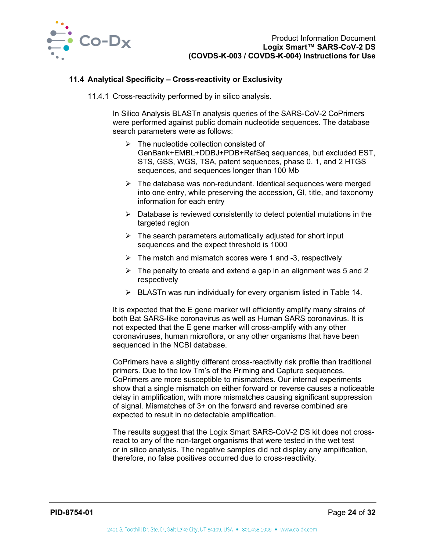

#### <span id="page-24-0"></span>**11.4 Analytical Specificity – Cross-reactivity or Exclusivity**

11.4.1 Cross-reactivity performed by in silico analysis.

In Silico Analysis BLASTn analysis queries of the SARS-CoV-2 CoPrimers were performed against public domain nucleotide sequences. The database search parameters were as follows:

- $\triangleright$  The nucleotide collection consisted of GenBank+EMBL+DDBJ+PDB+RefSeq sequences, but excluded EST, STS, GSS, WGS, TSA, patent sequences, phase 0, 1, and 2 HTGS sequences, and sequences longer than 100 Mb
- $\triangleright$  The database was non-redundant. Identical sequences were merged into one entry, while preserving the accession, GI, title, and taxonomy information for each entry
- $\triangleright$  Database is reviewed consistently to detect potential mutations in the targeted region
- $\triangleright$  The search parameters automatically adjusted for short input sequences and the expect threshold is 1000
- $\triangleright$  The match and mismatch scores were 1 and -3, respectively
- $\triangleright$  The penalty to create and extend a gap in an alignment was 5 and 2 respectively
- $\triangleright$  BLASTn was run individually for every organism listed in [Table 14.](#page-25-0)

It is expected that the E gene marker will efficiently amplify many strains of both Bat SARS-like coronavirus as well as Human SARS coronavirus. It is not expected that the E gene marker will cross-amplify with any other coronaviruses, human microflora, or any other organisms that have been sequenced in the NCBI database.

CoPrimers have a slightly different cross-reactivity risk profile than traditional primers. Due to the low Tm's of the Priming and Capture sequences, CoPrimers are more susceptible to mismatches. Our internal experiments show that a single mismatch on either forward or reverse causes a noticeable delay in amplification, with more mismatches causing significant suppression of signal. Mismatches of 3+ on the forward and reverse combined are expected to result in no detectable amplification.

The results suggest that the Logix Smart SARS-CoV-2 DS kit does not crossreact to any of the non-target organisms that were tested in the wet test or in silico analysis. The negative samples did not display any amplification, therefore, no false positives occurred due to cross-reactivity.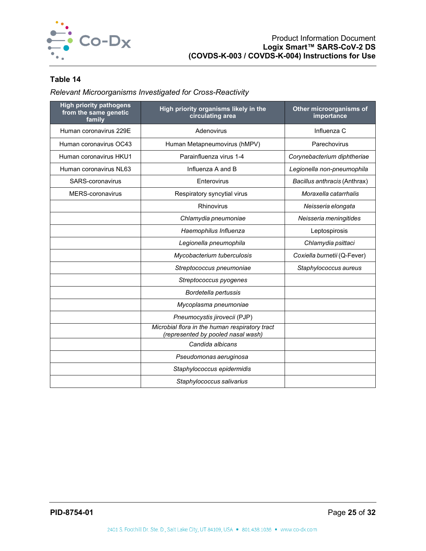

## <span id="page-25-0"></span>**Table 14**

*Relevant Microorganisms Investigated for Cross-Reactivity*

| <b>High priority pathogens</b><br>from the same genetic<br>family | High priority organisms likely in the<br>circulating area                            | Other microorganisms of<br>importance |
|-------------------------------------------------------------------|--------------------------------------------------------------------------------------|---------------------------------------|
| Human coronavirus 229E                                            | Adenovirus                                                                           | Influenza C                           |
| Human coronavirus OC43                                            | Human Metapneumovirus (hMPV)                                                         | Parechovirus                          |
| Human coronavirus HKU1                                            | Parainfluenza virus 1-4                                                              | Corynebacterium diphtheriae           |
| Human coronavirus NL63                                            | Influenza A and B                                                                    | Legionella non-pneumophila            |
| SARS-coronavirus                                                  | Enterovirus                                                                          | Bacillus anthracis (Anthrax)          |
| <b>MERS-coronavirus</b>                                           | Respiratory syncytial virus                                                          | Moraxella catarrhalis                 |
|                                                                   | Rhinovirus                                                                           | Neisseria elongata                    |
|                                                                   | Chlamydia pneumoniae                                                                 | Neisseria meningitides                |
|                                                                   | Haemophilus Influenza                                                                | Leptospirosis                         |
|                                                                   | Legionella pneumophila                                                               | Chlamydia psittaci                    |
|                                                                   | Mycobacterium tuberculosis                                                           | Coxiella burnetii (Q-Fever)           |
|                                                                   | Streptococcus pneumoniae                                                             | Staphylococcus aureus                 |
|                                                                   | Streptococcus pyogenes                                                               |                                       |
|                                                                   | Bordetella pertussis                                                                 |                                       |
|                                                                   | Mycoplasma pneumoniae                                                                |                                       |
|                                                                   | Pneumocystis jirovecii (PJP)                                                         |                                       |
|                                                                   | Microbial flora in the human respiratory tract<br>(represented by pooled nasal wash) |                                       |
|                                                                   | Candida albicans                                                                     |                                       |
|                                                                   | Pseudomonas aeruginosa                                                               |                                       |
|                                                                   | Staphylococcus epidermidis                                                           |                                       |
|                                                                   | Staphylococcus salivarius                                                            |                                       |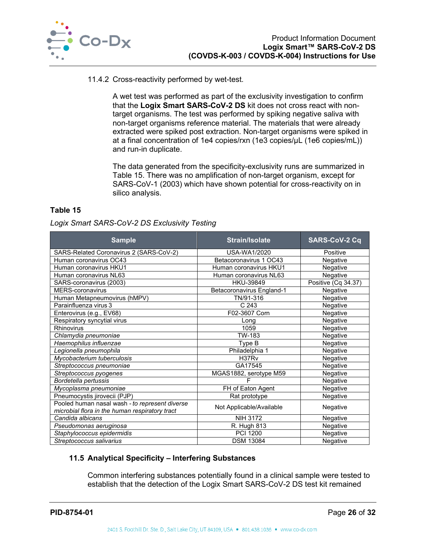

#### 11.4.2 Cross-reactivity performed by wet-test.

A wet test was performed as part of the exclusivity investigation to confirm that the **Logix Smart SARS-CoV-2 DS** kit does not cross react with nontarget organisms. The test was performed by spiking negative saliva with non-target organisms reference material. The materials that were already extracted were spiked post extraction. Non-target organisms were spiked in at a final concentration of 1e4 copies/rxn (1e3 copies/µL (1e6 copies/mL)) and run-in duplicate.

The data generated from the specificity-exclusivity runs are summarized in [Table 15.](#page-26-1) There was no amplification of non-target organism, except for SARS-CoV-1 (2003) which have shown potential for cross-reactivity on in silico analysis.

## <span id="page-26-1"></span>**Table 15**

#### *Logix Smart SARS-CoV-2 DS Exclusivity Testing*

| <b>Sample</b>                                                                                    | <b>Strain/Isolate</b>     | <b>SARS-CoV-2 Cq</b> |
|--------------------------------------------------------------------------------------------------|---------------------------|----------------------|
| SARS-Related Coronavirus 2 (SARS-CoV-2)                                                          | USA-WA1/2020              | Positive             |
| Human coronavirus OC43                                                                           | Betacoronavirus 1 OC43    | Negative             |
| Human coronavirus HKU1                                                                           | Human coronavirus HKU1    | Negative             |
| Human coronavirus NL63                                                                           | Human coronavirus NL63    | Negative             |
| SARS-coronavirus (2003)                                                                          | HKU-39849                 | Positive (Cq 34.37)  |
| <b>MERS-coronavirus</b>                                                                          | Betacoronavirus England-1 | Negative             |
| Human Metapneumovirus (hMPV)                                                                     | TN/91-316                 | Negative             |
| Parainfluenza virus 3                                                                            | C 243                     | Negative             |
| Enterovirus (e.g., EV68)                                                                         | F02-3607 Corn             | Negative             |
| Respiratory syncytial virus                                                                      | Long                      | Negative             |
| Rhinovirus                                                                                       | 1059                      | Negative             |
| Chlamydia pneumoniae                                                                             | TW-183                    | Negative             |
| Haemophilus influenzae                                                                           | Type B                    | Negative             |
| Legionella pneumophila                                                                           | Philadelphia 1            | Negative             |
| Mycobacterium tuberculosis                                                                       | H37R <sub>v</sub>         | Negative             |
| Streptococcus pneumoniae                                                                         | GA17545                   | Negative             |
| Streptococcus pyogenes                                                                           | MGAS1882, serotype M59    | Negative             |
| Bordetella pertussis                                                                             |                           | Negative             |
| Mycoplasma pneumoniae                                                                            | FH of Eaton Agent         | Negative             |
| Pneumocystis jirovecii (PJP)                                                                     | Rat prototype             | Negative             |
| Pooled human nasal wash - to represent diverse<br>microbial flora in the human respiratory tract | Not Applicable/Available  | Negative             |
| Candida albicans                                                                                 | <b>NIH 3172</b>           | Negative             |
| Pseudomonas aeruginosa                                                                           | R. Hugh 813               | Negative             |
| Staphylococcus epidermidis                                                                       | <b>PCI 1200</b>           | Negative             |
| Streptococcus salivarius                                                                         | <b>DSM 13084</b>          | Negative             |

#### <span id="page-26-0"></span>**11.5 Analytical Specificity – Interfering Substances**

Common interfering substances potentially found in a clinical sample were tested to establish that the detection of the Logix Smart SARS-CoV-2 DS test kit remained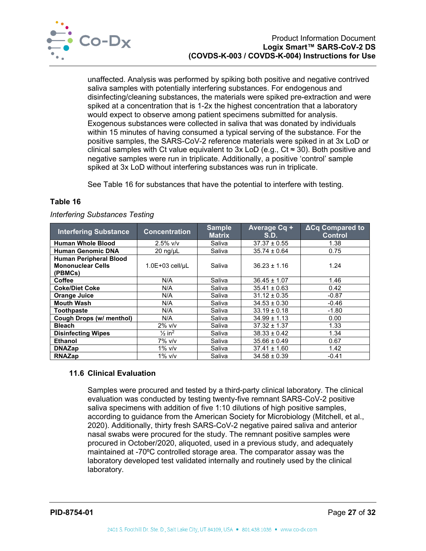

unaffected. Analysis was performed by spiking both positive and negative contrived saliva samples with potentially interfering substances. For endogenous and disinfecting/cleaning substances, the materials were spiked pre-extraction and were spiked at a concentration that is 1-2x the highest concentration that a laboratory would expect to observe among patient specimens submitted for analysis. Exogenous substances were collected in saliva that was donated by individuals within 15 minutes of having consumed a typical serving of the substance. For the positive samples, the SARS-CoV-2 reference materials were spiked in at 3x LoD or clinical samples with Ct value equivalent to 3x LoD (e.g.,  $Ct \approx 30$ ). Both positive and negative samples were run in triplicate. Additionally, a positive 'control' sample spiked at 3x LoD without interfering substances was run in triplicate.

See [Table 16](#page-27-1) for substances that have the potential to interfere with testing.

#### <span id="page-27-1"></span>**Table 16**

|  | <b>Interfering Substances Testing</b> |
|--|---------------------------------------|
|--|---------------------------------------|

| <b>Interfering Substance</b>                                         | <b>Concentration</b>          | <b>Sample</b><br><b>Matrix</b> | Average Cq +<br>S.D. | ∆Cq Compared to<br><b>Control</b> |
|----------------------------------------------------------------------|-------------------------------|--------------------------------|----------------------|-----------------------------------|
| <b>Human Whole Blood</b>                                             | $2.5\%$ v/v                   | Saliva                         | $37.37 \pm 0.55$     | 1.38                              |
| <b>Human Genomic DNA</b>                                             | $20$ ng/ $\mu$ L              | Saliva                         | $35.74 \pm 0.64$     | 0.75                              |
| <b>Human Peripheral Blood</b><br><b>Mononuclear Cells</b><br>(PBMCs) | $1.0E+03$ cell/uL             | Saliva                         | $36.23 \pm 1.16$     | 1.24                              |
| <b>Coffee</b>                                                        | N/A                           | Saliva                         | $36.45 \pm 1.07$     | 1.46                              |
| <b>Coke/Diet Coke</b>                                                | N/A                           | Saliva                         | $35.41 \pm 0.63$     | 0.42                              |
| <b>Orange Juice</b>                                                  | N/A                           | Saliva                         | $31.12 \pm 0.35$     | $-0.87$                           |
| <b>Mouth Wash</b>                                                    | N/A                           | Saliva                         | $34.53 \pm 0.30$     | $-0.46$                           |
| <b>Toothpaste</b>                                                    | N/A                           | Saliva                         | $33.19 \pm 0.18$     | $-1.80$                           |
| Cough Drops (w/ menthol)                                             | N/A                           | Saliva                         | $34.99 \pm 1.13$     | 0.00                              |
| <b>Bleach</b>                                                        | $2\%$ v/v                     | Saliva                         | $37.32 \pm 1.37$     | 1.33                              |
| <b>Disinfecting Wipes</b>                                            | $\frac{1}{2}$ in <sup>2</sup> | Saliva                         | $38.33 \pm 0.42$     | 1.34                              |
| <b>Ethanol</b>                                                       | 7% v/v                        | Saliva                         | $35.66 \pm 0.49$     | 0.67                              |
| <b>DNAZap</b>                                                        | $1\%$ v/v                     | Saliva                         | $37.41 \pm 1.60$     | 1.42                              |
| <b>RNAZap</b>                                                        | 1% $v/v$                      | Saliva                         | $34.58 \pm 0.39$     | $-0.41$                           |

## <span id="page-27-0"></span>**11.6 Clinical Evaluation**

Samples were procured and tested by a third-party clinical laboratory. The clinical evaluation was conducted by testing twenty-five remnant SARS-CoV-2 positive saliva specimens with addition of five 1:10 dilutions of high positive samples, according to guidance from the American Society for Microbiology (Mitchell, et al., 2020). Additionally, thirty fresh SARS-CoV-2 negative paired saliva and anterior nasal swabs were procured for the study. The remnant positive samples were procured in October/2020, aliquoted, used in a previous study, and adequately maintained at -70°C controlled storage area. The comparator assay was the laboratory developed test validated internally and routinely used by the clinical laboratory.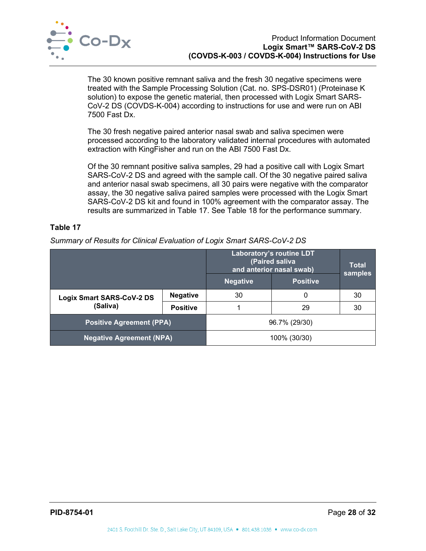

The 30 known positive remnant saliva and the fresh 30 negative specimens were treated with the Sample Processing Solution (Cat. no. SPS-DSR01) (Proteinase K solution) to expose the genetic material, then processed with Logix Smart SARS-CoV-2 DS (COVDS-K-004) according to instructions for use and were run on ABI 7500 Fast Dx.

The 30 fresh negative paired anterior nasal swab and saliva specimen were processed according to the laboratory validated internal procedures with automated extraction with KingFisher and run on the ABI 7500 Fast Dx.

Of the 30 remnant positive saliva samples, 29 had a positive call with Logix Smart SARS-CoV-2 DS and agreed with the sample call. Of the 30 negative paired saliva and anterior nasal swab specimens, all 30 pairs were negative with the comparator assay, the 30 negative saliva paired samples were processed with the Logix Smart SARS-CoV-2 DS kit and found in 100% agreement with the comparator assay. The results are summarized in [Table 17.](#page-28-1) See [Table 18](#page-29-0) for the performance summary.

## <span id="page-28-1"></span>**Table 17**

*Summary of Results for Clinical Evaluation of Logix Smart SARS-CoV-2 DS*

<span id="page-28-0"></span>

|                                              |                 | Laboratory's routine LDT<br>(Paired saliva<br>and anterior nasal swab) | <b>Total</b><br>samples |    |
|----------------------------------------------|-----------------|------------------------------------------------------------------------|-------------------------|----|
|                                              |                 | <b>Negative</b>                                                        | <b>Positive</b>         |    |
| <b>Logix Smart SARS-CoV-2 DS</b><br>(Saliva) | <b>Negative</b> | 30                                                                     | 0                       | 30 |
|                                              | <b>Positive</b> |                                                                        | 29                      | 30 |
| <b>Positive Agreement (PPA)</b>              |                 |                                                                        | 96.7% (29/30)           |    |
| <b>Negative Agreement (NPA)</b>              |                 |                                                                        | 100% (30/30)            |    |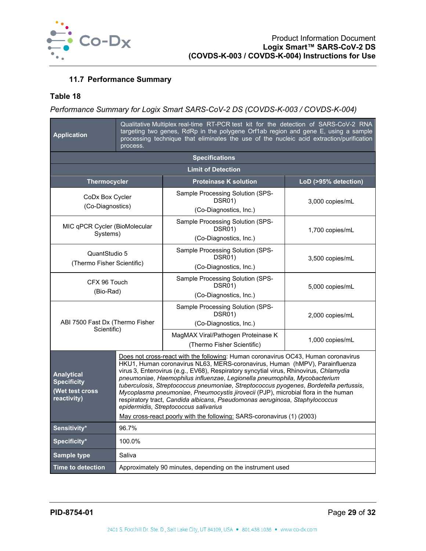

## **11.7 Performance Summary**

## <span id="page-29-0"></span>**Table 18**

## *Performance Summary for Logix Smart SARS-CoV-2 DS (COVDS-K-003 / COVDS-K-004)*

| <b>Application</b>                                                        | Qualitative Multiplex real-time RT-PCR test kit for the detection of SARS-CoV-2 RNA<br>targeting two genes, RdRp in the polygene Orf1ab region and gene E, using a sample<br>processing technique that eliminates the use of the nucleic acid extraction/purification<br>process.                                                                                                                                                                                                                                                                                                                                                                                                                                       |                                                                      |                      |
|---------------------------------------------------------------------------|-------------------------------------------------------------------------------------------------------------------------------------------------------------------------------------------------------------------------------------------------------------------------------------------------------------------------------------------------------------------------------------------------------------------------------------------------------------------------------------------------------------------------------------------------------------------------------------------------------------------------------------------------------------------------------------------------------------------------|----------------------------------------------------------------------|----------------------|
|                                                                           |                                                                                                                                                                                                                                                                                                                                                                                                                                                                                                                                                                                                                                                                                                                         | <b>Specifications</b>                                                |                      |
|                                                                           |                                                                                                                                                                                                                                                                                                                                                                                                                                                                                                                                                                                                                                                                                                                         | <b>Limit of Detection</b>                                            |                      |
| <b>Thermocycler</b>                                                       |                                                                                                                                                                                                                                                                                                                                                                                                                                                                                                                                                                                                                                                                                                                         | <b>Proteinase K solution</b>                                         | LoD (>95% detection) |
| CoDx Box Cycler<br>(Co-Diagnostics)                                       |                                                                                                                                                                                                                                                                                                                                                                                                                                                                                                                                                                                                                                                                                                                         | Sample Processing Solution (SPS-<br>DSR01)<br>(Co-Diagnostics, Inc.) | 3,000 copies/mL      |
| MIC qPCR Cycler (BioMolecular<br>Systems)                                 |                                                                                                                                                                                                                                                                                                                                                                                                                                                                                                                                                                                                                                                                                                                         | Sample Processing Solution (SPS-<br>DSR01)<br>(Co-Diagnostics, Inc.) | 1,700 copies/mL      |
| QuantStudio 5<br>(Thermo Fisher Scientific)                               |                                                                                                                                                                                                                                                                                                                                                                                                                                                                                                                                                                                                                                                                                                                         | Sample Processing Solution (SPS-<br>DSR01)<br>(Co-Diagnostics, Inc.) | 3,500 copies/mL      |
| CFX 96 Touch<br>(Bio-Rad)                                                 |                                                                                                                                                                                                                                                                                                                                                                                                                                                                                                                                                                                                                                                                                                                         | Sample Processing Solution (SPS-<br>DSR01)<br>(Co-Diagnostics, Inc.) | 5,000 copies/mL      |
| ABI 7500 Fast Dx (Thermo Fisher<br>Scientific)                            |                                                                                                                                                                                                                                                                                                                                                                                                                                                                                                                                                                                                                                                                                                                         | Sample Processing Solution (SPS-<br>DSR01)<br>(Co-Diagnostics, Inc.) | 2,000 copies/mL      |
|                                                                           |                                                                                                                                                                                                                                                                                                                                                                                                                                                                                                                                                                                                                                                                                                                         | MagMAX Viral/Pathogen Proteinase K<br>(Thermo Fisher Scientific)     | 1,000 copies/mL      |
| <b>Analytical</b><br><b>Specificity</b><br>(Wet test cross<br>reactivity) | Does not cross-react with the following: Human coronavirus OC43, Human coronavirus<br>HKU1, Human coronavirus NL63, MERS-coronavirus, Human (hMPV), Parainfluenza<br>virus 3, Enterovirus (e.g., EV68), Respiratory syncytial virus, Rhinovirus, Chlamydia<br>pneumoniae, Haemophilus influenzae, Legionella pneumophila, Mycobacterium<br>tuberculosis, Streptococcus pneumoniae, Streptococcus pyogenes, Bordetella pertussis,<br>Mycoplasma pneumoniae, Pneumocystis jirovecii (PJP), microbial flora in the human<br>respiratory tract, Candida albicans, Pseudomonas aeruginosa, Staphylococcus<br>epidermidis, Streptococcus salivarius<br>May cross-react poorly with the following: SARS-coronavirus (1) (2003) |                                                                      |                      |
| Sensitivity*                                                              | 96.7%                                                                                                                                                                                                                                                                                                                                                                                                                                                                                                                                                                                                                                                                                                                   |                                                                      |                      |
| Specificity*                                                              | 100.0%                                                                                                                                                                                                                                                                                                                                                                                                                                                                                                                                                                                                                                                                                                                  |                                                                      |                      |
| <b>Sample type</b>                                                        | Saliva                                                                                                                                                                                                                                                                                                                                                                                                                                                                                                                                                                                                                                                                                                                  |                                                                      |                      |
| <b>Time to detection</b>                                                  |                                                                                                                                                                                                                                                                                                                                                                                                                                                                                                                                                                                                                                                                                                                         | Approximately 90 minutes, depending on the instrument used           |                      |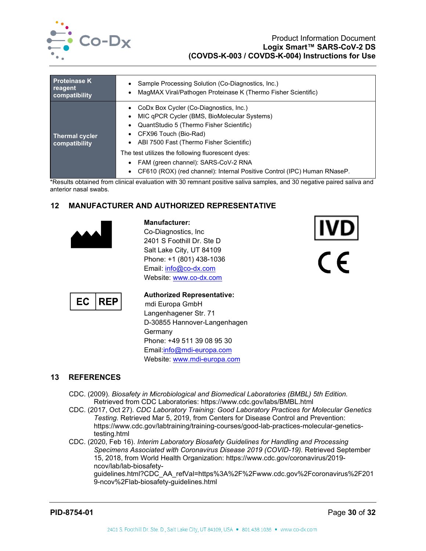

#### Product Information Document **Logix Smart™ SARS-CoV-2 DS (COVDS-K-003 / COVDS-K-004) Instructions for Use**

| <b>Proteinase K</b>                    | Sample Processing Solution (Co-Diagnostics, Inc.)                                                                                                                                                                                                                                                                                                                                                |
|----------------------------------------|--------------------------------------------------------------------------------------------------------------------------------------------------------------------------------------------------------------------------------------------------------------------------------------------------------------------------------------------------------------------------------------------------|
| reagent                                | MagMAX Viral/Pathogen Proteinase K (Thermo Fisher Scientific)                                                                                                                                                                                                                                                                                                                                    |
| compatibility                          | ٠                                                                                                                                                                                                                                                                                                                                                                                                |
| <b>Thermal cycler</b><br>compatibility | CoDx Box Cycler (Co-Diagnostics, Inc.)<br>MIC qPCR Cycler (BMS, BioMolecular Systems)<br>$\bullet$<br>QuantStudio 5 (Thermo Fisher Scientific)<br>CFX96 Touch (Bio-Rad)<br>ABI 7500 Fast (Thermo Fisher Scientific)<br>The test utilizes the following fluorescent dyes:<br>FAM (green channel): SARS-CoV-2 RNA<br>CF610 (ROX) (red channel): Internal Positive Control (IPC) Human RNaseP.<br>٠ |

\*Results obtained from clinical evaluation with 30 remnant positive saliva samples, and 30 negative paired saliva and anterior nasal swabs.

## <span id="page-30-0"></span>**12 MANUFACTURER AND AUTHORIZED REPRESENTATIVE**



**Manufacturer:** Co-Diagnostics, Inc 2401 S Foothill Dr. Ste D Salt Lake City, UT 84109 Phone: +1 (801) 438-1036 Email: [info@co-dx.com](mailto:info@co-dx.com) Website: [www.co-dx.com](http://www.co-dx.com/)





## **Authorized Representative:**

mdi Europa GmbH Langenhagener Str. 71 D-30855 Hannover-Langenhagen Germany Phone: +49 511 39 08 95 30 Email[:info@mdi-europa.com](mailto:info@mdi-europa.com) Website: [www.mdi-europa.com](http://www.mdi-europa.com/)

## <span id="page-30-1"></span>**13 REFERENCES**

- CDC. (2009). *Biosafety in Microbiological and Biomedical Laboratories (BMBL) 5th Edition.* Retrieved from CDC Laboratories: https://www.cdc.gov/labs/BMBL.html
- CDC. (2017, Oct 27). *CDC Laboratory Training: Good Laboratory Practices for Molecular Genetics Testing*. Retrieved Mar 5, 2019, from Centers for Disease Control and Prevention: https://www.cdc.gov/labtraining/training-courses/good-lab-practices-molecular-geneticstesting.html
- CDC. (2020, Feb 16). *Interim Laboratory Biosafety Guidelines for Handling and Processing Specimens Associated with Coronavirus Disease 2019 (COVID-19).* Retrieved September 15, 2018, from World Health Organization: https://www.cdc.gov/coronavirus/2019 ncov/lab/lab-biosafety-

guidelines.html?CDC\_AA\_refVal=https%3A%2F%2Fwww.cdc.gov%2Fcoronavirus%2F201 9-ncov%2Flab-biosafety-guidelines.html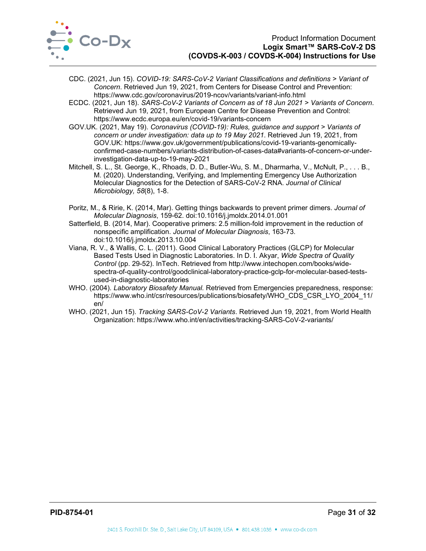

- CDC. (2021, Jun 15). *COVID-19: SARS-CoV-2 Variant Classifications and definitions > Variant of Concern*. Retrieved Jun 19, 2021, from Centers for Disease Control and Prevention: https://www.cdc.gov/coronavirus/2019-ncov/variants/variant-info.html
- ECDC. (2021, Jun 18). *SARS-CoV-2 Variants of Concern as of 18 Jun 2021 > Variants of Concern*. Retrieved Jun 19, 2021, from European Centre for Disease Prevention and Control: https://www.ecdc.europa.eu/en/covid-19/variants-concern
- GOV.UK. (2021, May 19). *Coronavirus (COVID-19): Rules, guidance and support > Variants of concern or under investigation: data up to 19 May 2021*. Retrieved Jun 19, 2021, from GOV.UK: https://www.gov.uk/government/publications/covid-19-variants-genomicallyconfirmed-case-numbers/variants-distribution-of-cases-data#variants-of-concern-or-underinvestigation-data-up-to-19-may-2021
- Mitchell, S. L., St. George, K., Rhoads, D. D., Butler-Wu, S. M., Dharmarha, V., McNult, P., . . . B., M. (2020). Understanding, Verifying, and Implementing Emergency Use Authorization Molecular Diagnostics for the Detection of SARS-CoV-2 RNA. *Journal of Clinical Microbiology, 58*(8), 1-8.
- Poritz, M., & Ririe, K. (2014, Mar). Getting things backwards to prevent primer dimers. *Journal of Molecular Diagnosis*, 159-62. doi:10.1016/j.jmoldx.2014.01.001
- Satterfield, B. (2014, Mar). Cooperative primers: 2.5 million-fold improvement in the reduction of nonspecific amplification. *Journal of Molecular Diagnosis*, 163-73. doi:10.1016/j.jmoldx.2013.10.004
- Viana, R. V., & Wallis, C. L. (2011). Good Clinical Laboratory Practices (GLCP) for Molecular Based Tests Used in Diagnostic Laboratories. In D. I. Akyar, *Wide Spectra of Quality Control* (pp. 29-52). InTech. Retrieved from http://www.intechopen.com/books/widespectra-of-quality-control/goodclinical-laboratory-practice-gclp-for-molecular-based-testsused-in-diagnostic-laboratories
- WHO. (2004). *Laboratory Biosafety Manual.* Retrieved from Emergencies preparedness, response: https://www.who.int/csr/resources/publications/biosafety/WHO\_CDS\_CSR\_LYO\_2004\_11/ en/
- WHO. (2021, Jun 15). *Tracking SARS-CoV-2 Variants*. Retrieved Jun 19, 2021, from World Health Organization: https://www.who.int/en/activities/tracking-SARS-CoV-2-variants/